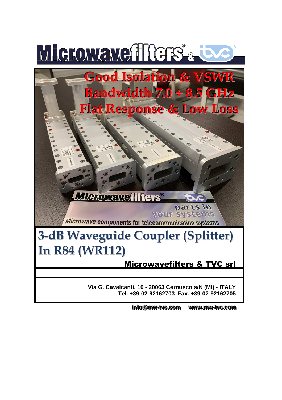

info@mw-tvc.com www. **..mmww--ttvvcc. ..ccoomm**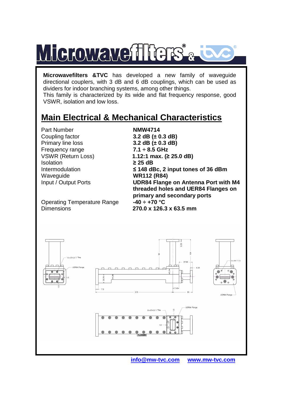

**Microwavefilters &TVC** has developed a new family of waveguide directional couplers, with 3 dB and 6 dB couplings, which can be used as dividers for indoor branching systems, among other things.

This family is characterized by its wide and flat frequency response, good VSWR, isolation and low loss.

## **Main Electrical & Mechanical Characteristics**

 Primary line loss **3.2 dB (± 0.3 dB)** Part Number **NMW4714** Coupling factor **3.2 dB (± 0.3 dB)**  Frequency range **7.1 ÷ 8.5 GHz**  Isolation **≥ 25 dB**  Waveguide **WR112 (R84)** 

Operating Temperature Range **-40 ÷ +70 °C**  Dimensions **270.0 x 126.3 x 63.5 mm** 

VSWR (Return Loss) **1.12:1 max. (≥ 25.0 dB)**  Intermodulation **≤ 148 dBc, 2 input tones of 36 dBm**  Input / Output Ports **UDR84 Flange on Antenna Port with M4 threaded holes and UER84 Flanges on primary and secondary ports**



 **info@mw-tvc.com www.mw-tvc.com**